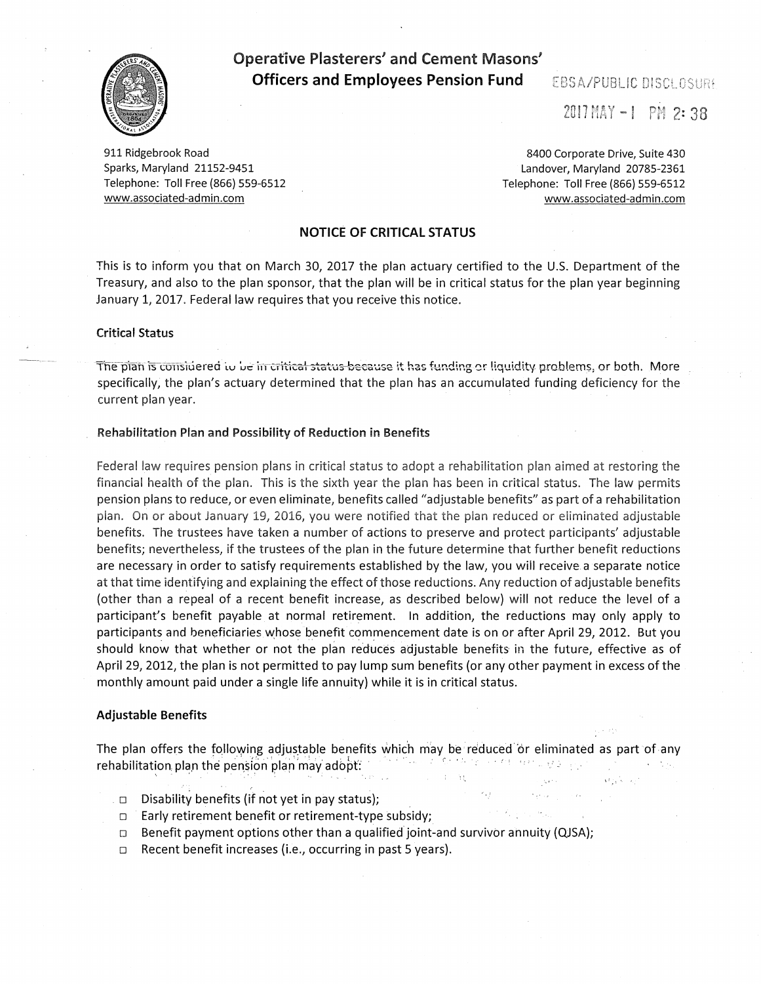

# **Operative Plasterers' and Cement Masons' Officers and Employees Pension Fund EBSA/PUBLIC DISCLOSURE**

 $2017$  MAY  $-1$  PM 2: 38

911 Ridgebrook Road Sparks, Maryland 21152-9451 Telephone: Toll Free (866) 559-6512 www.associated-admin.com

8400 Corporate Drive, Suite 430 Landover, Maryland 20785-2361 Telephone: Toll Free {866) 559-6512 www.associated-admin.com

### **NOTICE OF CRITICAL STATUS**

This is to inform you that on March 30, 2017 the plan actuary certified to the U.S. Department of the Treasury, and also to the plan sponsor, that the plan will be in critical status for the plan year beginning January 1, 2017. Federal law requires that you receive this notice.

#### **Critical Status**

The plan is considered to be in critical status because it has funding or liquidity problems, or both. More specifically, the plan's actuary determined that the plan has an accumulated funding deficiency for the current plan year.

#### **Rehabilitation Plan and Possibility of Reduction in Benefits**

Federal law requires pension plans in critical status to adopt a rehabilitation plan aimed at restoring the financial health of the plan. This is the sixth year the plan has been in critical status. The law permits pension plans to reduce, or even eliminate, benefits called "adjustable benefits" as part of a rehabilitation plan. On or about January 19, 2016, you were notified that the plan reduced or eliminated adjustable benefits. The trustees have taken a number of actions to preserve and protect participants' adjustable benefits; nevertheless, if the trustees of the plan in the future determine that further benefit reductions are necessary in order to satisfy requirements established by the law, you will receive a separate notice at that time identifying and explaining the effect of those reductions. Any reduction of adjustable benefits {other than a repeal of a recent benefit increase, as described below) will not reduce the level of a participant's benefit payable at normal retirement. In addition, the reductions may only apply to participants and beneficiaries whose benefit commencement date is on or after April 29, 2012. But you should know that whether or not the plan reduces adjustable benefits in the future, effective as of April 29, 2012, the plan is not permitted to pay lump sum benefits {or any other payment in excess of the monthly amount paid under a single life annuity) while it is in critical status.

#### **Adjustable Benefits**

The plan offers the following adjustable benefits which may be reduced or eliminated as part of any rehabilitation pla.n the p~~.~f~rl 'plar'm'a'Y adbp'f . . ' . . .· t' •. : ' . *r'* • ''' ,, •.' .. ' ,' ' . . '· ' ' ' )

:,,·

I ~ • 1 , '·

- $\Box$  Disability benefits (if not yet in pay status);
- □ Early retirement benefit or retirement-type subsidy;
- $\Box$ Benefit payment options other than a qualified joint-and survivor annuity {QJSA);
- $\Box$ Recent benefit increases {i.e., occurring in past 5 years).